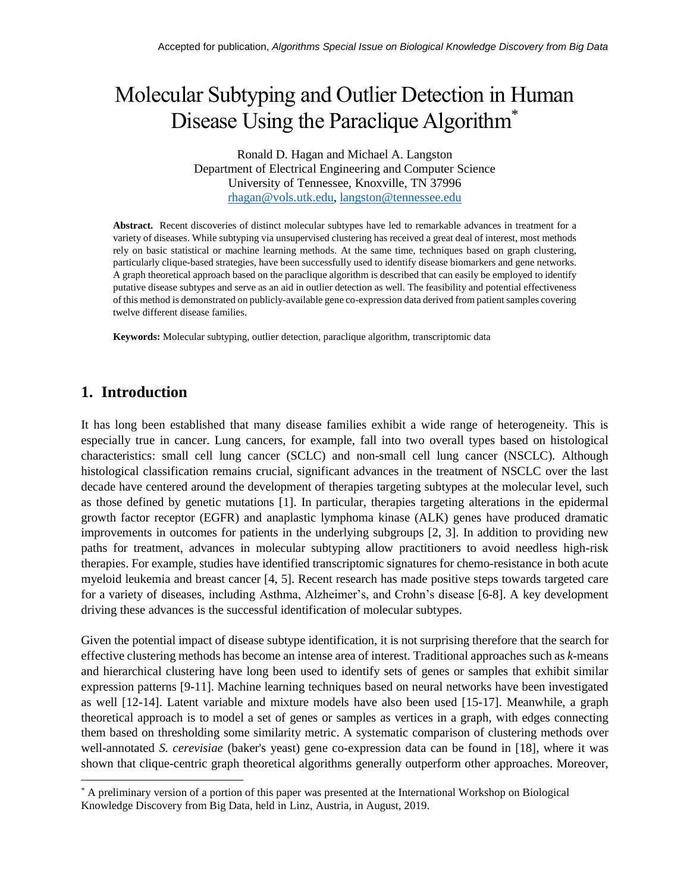# Molecular Subtyping and Outlier Detection in Human Disease Using the Paraclique Algorithm<sup>\*</sup>

Ronald D. Hagan and Michael A. Langston Department of Electrical Engineering and Computer Science University of Tennessee, Knoxville, TN 37996 [rhagan@vols.utk.edu,](mailto:rhagan@vols.utk.edu) [langston@tennessee.edu](mailto:langston@tennessee.edu)

**Abstract.** Recent discoveries of distinct molecular subtypes have led to remarkable advances in treatment for a variety of diseases. While subtyping via unsupervised clustering has received a great deal of interest, most methods rely on basic statistical or machine learning methods. At the same time, techniques based on graph clustering, particularly clique-based strategies, have been successfully used to identify disease biomarkers and gene networks. A graph theoretical approach based on the paraclique algorithm is described that can easily be employed to identify putative disease subtypes and serve as an aid in outlier detection as well. The feasibility and potential effectiveness of this method is demonstrated on publicly-available gene co-expression data derived from patient samples covering twelve different disease families.

**Keywords:** Molecular subtyping, outlier detection, paraclique algorithm, transcriptomic data

## **1. Introduction**

 $\overline{\phantom{a}}$ 

It has long been established that many disease families exhibit a wide range of heterogeneity. This is especially true in cancer. Lung cancers, for example, fall into two overall types based on histological characteristics: small cell lung cancer (SCLC) and non-small cell lung cancer (NSCLC). Although histological classification remains crucial, significant advances in the treatment of NSCLC over the last decade have centered around the development of therapies targeting subtypes at the molecular level, such as those defined by genetic mutations [1]. In particular, therapies targeting alterations in the epidermal growth factor receptor (EGFR) and anaplastic lymphoma kinase (ALK) genes have produced dramatic improvements in outcomes for patients in the underlying subgroups [2, 3]. In addition to providing new paths for treatment, advances in molecular subtyping allow practitioners to avoid needless high-risk therapies. For example, studies have identified transcriptomic signatures for chemo-resistance in both acute myeloid leukemia and breast cancer [4, 5]. Recent research has made positive steps towards targeted care for a variety of diseases, including Asthma, Alzheimer's, and Crohn's disease [6-8]. A key development driving these advances is the successful identification of molecular subtypes.

Given the potential impact of disease subtype identification, it is not surprising therefore that the search for effective clustering methods has become an intense area of interest. Traditional approaches such as *k*-means and hierarchical clustering have long been used to identify sets of genes or samples that exhibit similar expression patterns [9-11]. Machine learning techniques based on neural networks have been investigated as well [12-14]. Latent variable and mixture models have also been used [15-17]. Meanwhile, a graph theoretical approach is to model a set of genes or samples as vertices in a graph, with edges connecting them based on thresholding some similarity metric. A systematic comparison of clustering methods over well-annotated *S. cerevisiae* (baker's yeast) gene co-expression data can be found in [18], where it was shown that clique-centric graph theoretical algorithms generally outperform other approaches. Moreover,

<sup>\*</sup> A preliminary version of a portion of this paper was presented at the International Workshop on Biological Knowledge Discovery from Big Data, held in Linz, Austria, in August, 2019.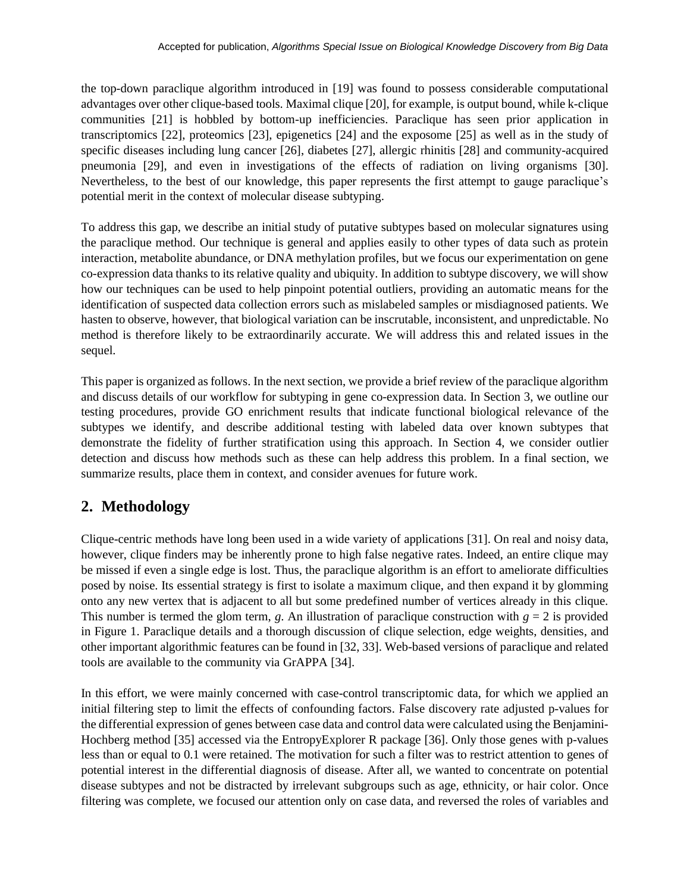the top-down paraclique algorithm introduced in [19] was found to possess considerable computational advantages over other clique-based tools. Maximal clique [20], for example, is output bound, while k-clique communities [21] is hobbled by bottom-up inefficiencies. Paraclique has seen prior application in transcriptomics [22], proteomics [23], epigenetics [24] and the exposome [25] as well as in the study of specific diseases including lung cancer [26], diabetes [27], allergic rhinitis [28] and community-acquired pneumonia [29], and even in investigations of the effects of radiation on living organisms [30]. Nevertheless, to the best of our knowledge, this paper represents the first attempt to gauge paraclique's potential merit in the context of molecular disease subtyping.

To address this gap, we describe an initial study of putative subtypes based on molecular signatures using the paraclique method. Our technique is general and applies easily to other types of data such as protein interaction, metabolite abundance, or DNA methylation profiles, but we focus our experimentation on gene co-expression data thanks to its relative quality and ubiquity. In addition to subtype discovery, we will show how our techniques can be used to help pinpoint potential outliers, providing an automatic means for the identification of suspected data collection errors such as mislabeled samples or misdiagnosed patients. We hasten to observe, however, that biological variation can be inscrutable, inconsistent, and unpredictable. No method is therefore likely to be extraordinarily accurate. We will address this and related issues in the sequel.

This paper is organized as follows. In the next section, we provide a brief review of the paraclique algorithm and discuss details of our workflow for subtyping in gene co-expression data. In Section 3, we outline our testing procedures, provide GO enrichment results that indicate functional biological relevance of the subtypes we identify, and describe additional testing with labeled data over known subtypes that demonstrate the fidelity of further stratification using this approach. In Section 4, we consider outlier detection and discuss how methods such as these can help address this problem. In a final section, we summarize results, place them in context, and consider avenues for future work.

# **2. Methodology**

Clique-centric methods have long been used in a wide variety of applications [31]. On real and noisy data, however, clique finders may be inherently prone to high false negative rates. Indeed, an entire clique may be missed if even a single edge is lost. Thus, the paraclique algorithm is an effort to ameliorate difficulties posed by noise. Its essential strategy is first to isolate a maximum clique, and then expand it by glomming onto any new vertex that is adjacent to all but some predefined number of vertices already in this clique. This number is termed the glom term,  $g$ . An illustration of paraclique construction with  $g = 2$  is provided in Figure 1. Paraclique details and a thorough discussion of clique selection, edge weights, densities, and other important algorithmic features can be found in [32, 33]. Web-based versions of paraclique and related tools are available to the community via GrAPPA [34].

In this effort, we were mainly concerned with case-control transcriptomic data, for which we applied an initial filtering step to limit the effects of confounding factors. False discovery rate adjusted p-values for the differential expression of genes between case data and control data were calculated using the Benjamini-Hochberg method [35] accessed via the EntropyExplorer R package [36]. Only those genes with p-values less than or equal to 0.1 were retained. The motivation for such a filter was to restrict attention to genes of potential interest in the differential diagnosis of disease. After all, we wanted to concentrate on potential disease subtypes and not be distracted by irrelevant subgroups such as age, ethnicity, or hair color. Once filtering was complete, we focused our attention only on case data, and reversed the roles of variables and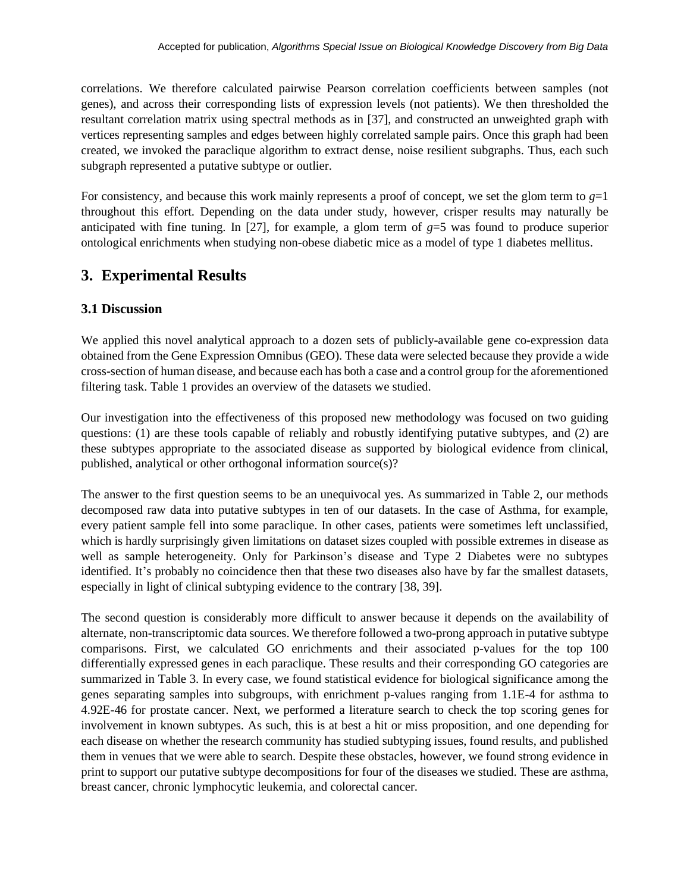correlations. We therefore calculated pairwise Pearson correlation coefficients between samples (not genes), and across their corresponding lists of expression levels (not patients). We then thresholded the resultant correlation matrix using spectral methods as in [37], and constructed an unweighted graph with vertices representing samples and edges between highly correlated sample pairs. Once this graph had been created, we invoked the paraclique algorithm to extract dense, noise resilient subgraphs. Thus, each such subgraph represented a putative subtype or outlier.

For consistency, and because this work mainly represents a proof of concept, we set the glom term to  $g=1$ throughout this effort. Depending on the data under study, however, crisper results may naturally be anticipated with fine tuning. In [27], for example, a glom term of *g*=5 was found to produce superior ontological enrichments when studying non-obese diabetic mice as a model of type 1 diabetes mellitus.

## **3. Experimental Results**

## **3.1 Discussion**

We applied this novel analytical approach to a dozen sets of publicly-available gene co-expression data obtained from the Gene Expression Omnibus (GEO). These data were selected because they provide a wide cross-section of human disease, and because each has both a case and a control group for the aforementioned filtering task. Table 1 provides an overview of the datasets we studied.

Our investigation into the effectiveness of this proposed new methodology was focused on two guiding questions: (1) are these tools capable of reliably and robustly identifying putative subtypes, and (2) are these subtypes appropriate to the associated disease as supported by biological evidence from clinical, published, analytical or other orthogonal information source(s)?

The answer to the first question seems to be an unequivocal yes. As summarized in Table 2, our methods decomposed raw data into putative subtypes in ten of our datasets. In the case of Asthma, for example, every patient sample fell into some paraclique. In other cases, patients were sometimes left unclassified, which is hardly surprisingly given limitations on dataset sizes coupled with possible extremes in disease as well as sample heterogeneity. Only for Parkinson's disease and Type 2 Diabetes were no subtypes identified. It's probably no coincidence then that these two diseases also have by far the smallest datasets, especially in light of clinical subtyping evidence to the contrary [38, 39].

The second question is considerably more difficult to answer because it depends on the availability of alternate, non-transcriptomic data sources. We therefore followed a two-prong approach in putative subtype comparisons. First, we calculated GO enrichments and their associated p-values for the top 100 differentially expressed genes in each paraclique. These results and their corresponding GO categories are summarized in Table 3. In every case, we found statistical evidence for biological significance among the genes separating samples into subgroups, with enrichment p-values ranging from 1.1E-4 for asthma to 4.92E-46 for prostate cancer. Next, we performed a literature search to check the top scoring genes for involvement in known subtypes. As such, this is at best a hit or miss proposition, and one depending for each disease on whether the research community has studied subtyping issues, found results, and published them in venues that we were able to search. Despite these obstacles, however, we found strong evidence in print to support our putative subtype decompositions for four of the diseases we studied. These are asthma, breast cancer, chronic lymphocytic leukemia, and colorectal cancer.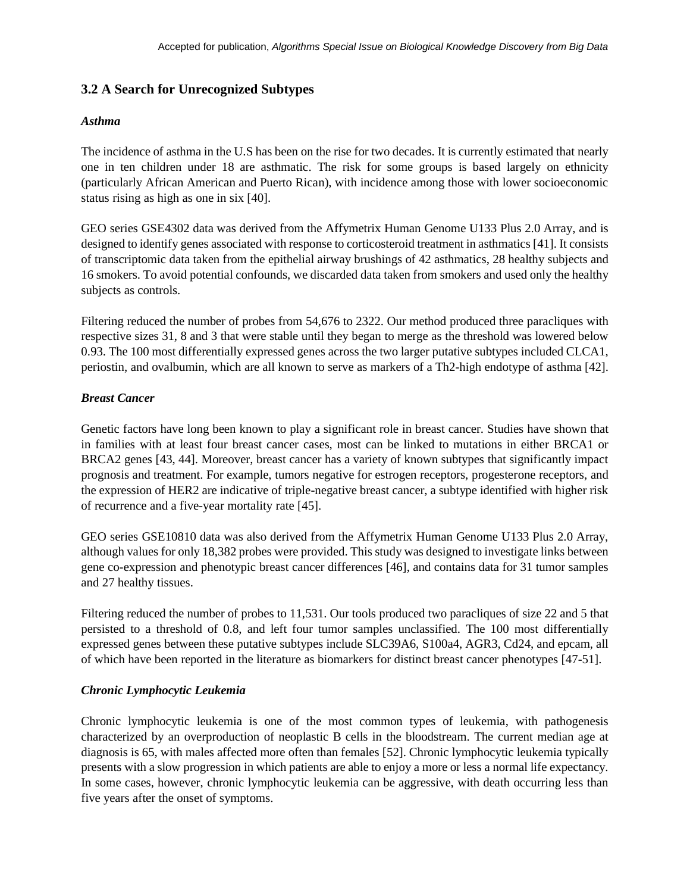#### **3.2 A Search for Unrecognized Subtypes**

#### *Asthma*

The incidence of asthma in the U.S has been on the rise for two decades. It is currently estimated that nearly one in ten children under 18 are asthmatic. The risk for some groups is based largely on ethnicity (particularly African American and Puerto Rican), with incidence among those with lower socioeconomic status rising as high as one in six [40].

GEO series GSE4302 data was derived from the Affymetrix Human Genome U133 Plus 2.0 Array, and is designed to identify genes associated with response to corticosteroid treatment in asthmatics [41]. It consists of transcriptomic data taken from the epithelial airway brushings of 42 asthmatics, 28 healthy subjects and 16 smokers. To avoid potential confounds, we discarded data taken from smokers and used only the healthy subjects as controls.

Filtering reduced the number of probes from 54,676 to 2322. Our method produced three paracliques with respective sizes 31, 8 and 3 that were stable until they began to merge as the threshold was lowered below 0.93. The 100 most differentially expressed genes across the two larger putative subtypes included CLCA1, periostin, and ovalbumin, which are all known to serve as markers of a Th2-high endotype of asthma [42].

#### *Breast Cancer*

Genetic factors have long been known to play a significant role in breast cancer. Studies have shown that in families with at least four breast cancer cases, most can be linked to mutations in either BRCA1 or BRCA2 genes [43, 44]. Moreover, breast cancer has a variety of known subtypes that significantly impact prognosis and treatment. For example, tumors negative for estrogen receptors, progesterone receptors, and the expression of HER2 are indicative of triple-negative breast cancer, a subtype identified with higher risk of recurrence and a five-year mortality rate [45].

GEO series GSE10810 data was also derived from the Affymetrix Human Genome U133 Plus 2.0 Array, although values for only 18,382 probes were provided. This study was designed to investigate links between gene co-expression and phenotypic breast cancer differences [46], and contains data for 31 tumor samples and 27 healthy tissues.

Filtering reduced the number of probes to 11,531. Our tools produced two paracliques of size 22 and 5 that persisted to a threshold of 0.8, and left four tumor samples unclassified. The 100 most differentially expressed genes between these putative subtypes include SLC39A6, S100a4, AGR3, Cd24, and epcam, all of which have been reported in the literature as biomarkers for distinct breast cancer phenotypes [47-51].

#### *Chronic Lymphocytic Leukemia*

Chronic lymphocytic leukemia is one of the most common types of leukemia, with pathogenesis characterized by an overproduction of neoplastic B cells in the bloodstream. The current median age at diagnosis is 65, with males affected more often than females [52]. Chronic lymphocytic leukemia typically presents with a slow progression in which patients are able to enjoy a more or less a normal life expectancy. In some cases, however, chronic lymphocytic leukemia can be aggressive, with death occurring less than five years after the onset of symptoms.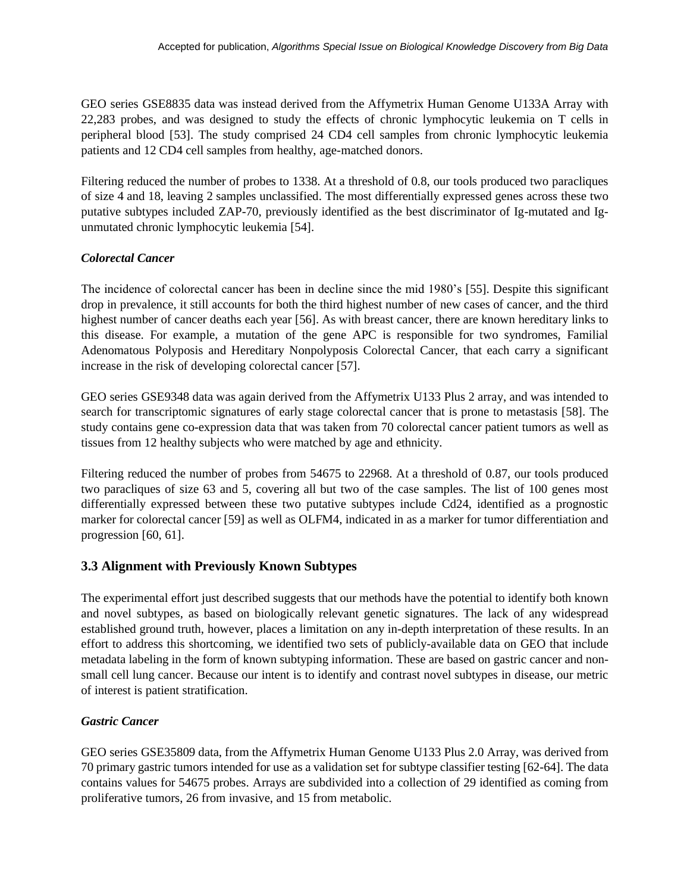GEO series GSE8835 data was instead derived from the Affymetrix Human Genome U133A Array with 22,283 probes, and was designed to study the effects of chronic lymphocytic leukemia on T cells in peripheral blood [53]. The study comprised 24 CD4 cell samples from chronic lymphocytic leukemia patients and 12 CD4 cell samples from healthy, age-matched donors.

Filtering reduced the number of probes to 1338. At a threshold of 0.8, our tools produced two paracliques of size 4 and 18, leaving 2 samples unclassified. The most differentially expressed genes across these two putative subtypes included ZAP-70, previously identified as the best discriminator of Ig-mutated and Igunmutated chronic lymphocytic leukemia [54].

#### *Colorectal Cancer*

The incidence of colorectal cancer has been in decline since the mid 1980's [55]. Despite this significant drop in prevalence, it still accounts for both the third highest number of new cases of cancer, and the third highest number of cancer deaths each year [56]. As with breast cancer, there are known hereditary links to this disease. For example, a mutation of the gene APC is responsible for two syndromes, Familial Adenomatous Polyposis and Hereditary Nonpolyposis Colorectal Cancer, that each carry a significant increase in the risk of developing colorectal cancer [57].

GEO series GSE9348 data was again derived from the Affymetrix U133 Plus 2 array, and was intended to search for transcriptomic signatures of early stage colorectal cancer that is prone to metastasis [58]. The study contains gene co-expression data that was taken from 70 colorectal cancer patient tumors as well as tissues from 12 healthy subjects who were matched by age and ethnicity.

Filtering reduced the number of probes from 54675 to 22968. At a threshold of 0.87, our tools produced two paracliques of size 63 and 5, covering all but two of the case samples. The list of 100 genes most differentially expressed between these two putative subtypes include Cd24, identified as a prognostic marker for colorectal cancer [59] as well as OLFM4, indicated in as a marker for tumor differentiation and progression [60, 61].

## **3.3 Alignment with Previously Known Subtypes**

The experimental effort just described suggests that our methods have the potential to identify both known and novel subtypes, as based on biologically relevant genetic signatures. The lack of any widespread established ground truth, however, places a limitation on any in-depth interpretation of these results. In an effort to address this shortcoming, we identified two sets of publicly-available data on GEO that include metadata labeling in the form of known subtyping information. These are based on gastric cancer and nonsmall cell lung cancer. Because our intent is to identify and contrast novel subtypes in disease, our metric of interest is patient stratification.

#### *Gastric Cancer*

GEO series GSE35809 data, from the Affymetrix Human Genome U133 Plus 2.0 Array, was derived from 70 primary gastric tumors intended for use as a validation set for subtype classifier testing [62-64]. The data contains values for 54675 probes. Arrays are subdivided into a collection of 29 identified as coming from proliferative tumors, 26 from invasive, and 15 from metabolic.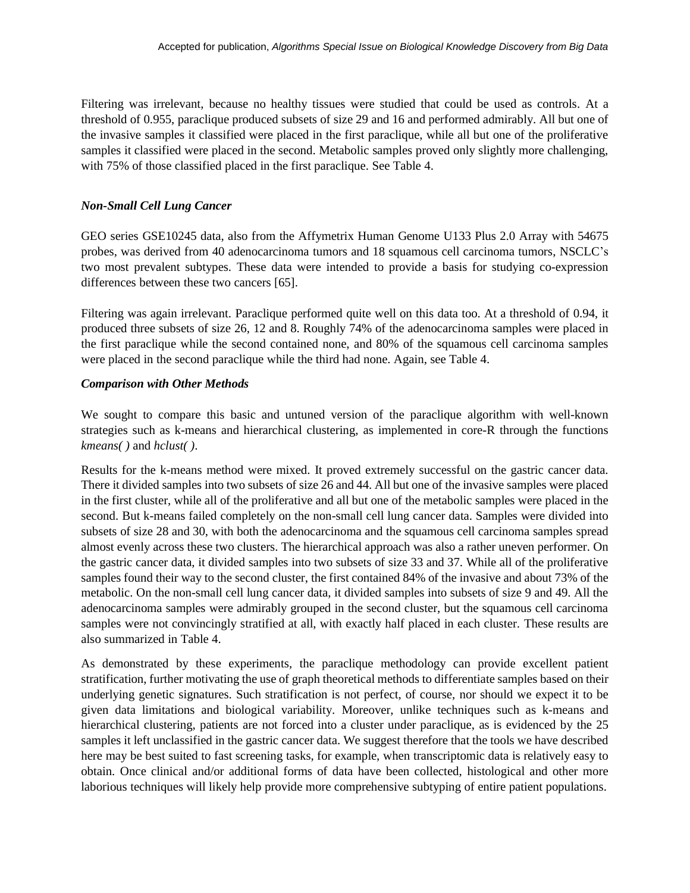Filtering was irrelevant, because no healthy tissues were studied that could be used as controls. At a threshold of 0.955, paraclique produced subsets of size 29 and 16 and performed admirably. All but one of the invasive samples it classified were placed in the first paraclique, while all but one of the proliferative samples it classified were placed in the second. Metabolic samples proved only slightly more challenging, with 75% of those classified placed in the first paraclique. See Table 4.

#### *Non-Small Cell Lung Cancer*

GEO series GSE10245 data, also from the Affymetrix Human Genome U133 Plus 2.0 Array with 54675 probes, was derived from 40 adenocarcinoma tumors and 18 squamous cell carcinoma tumors, NSCLC's two most prevalent subtypes. These data were intended to provide a basis for studying co-expression differences between these two cancers [65].

Filtering was again irrelevant. Paraclique performed quite well on this data too. At a threshold of 0.94, it produced three subsets of size 26, 12 and 8. Roughly 74% of the adenocarcinoma samples were placed in the first paraclique while the second contained none, and 80% of the squamous cell carcinoma samples were placed in the second paraclique while the third had none. Again, see Table 4.

#### *Comparison with Other Methods*

We sought to compare this basic and untuned version of the paraclique algorithm with well-known strategies such as k-means and hierarchical clustering, as implemented in core-R through the functions *kmeans( )* and *hclust( )*.

Results for the k-means method were mixed. It proved extremely successful on the gastric cancer data. There it divided samples into two subsets of size 26 and 44. All but one of the invasive samples were placed in the first cluster, while all of the proliferative and all but one of the metabolic samples were placed in the second. But k-means failed completely on the non-small cell lung cancer data. Samples were divided into subsets of size 28 and 30, with both the adenocarcinoma and the squamous cell carcinoma samples spread almost evenly across these two clusters. The hierarchical approach was also a rather uneven performer. On the gastric cancer data, it divided samples into two subsets of size 33 and 37. While all of the proliferative samples found their way to the second cluster, the first contained 84% of the invasive and about 73% of the metabolic. On the non-small cell lung cancer data, it divided samples into subsets of size 9 and 49. All the adenocarcinoma samples were admirably grouped in the second cluster, but the squamous cell carcinoma samples were not convincingly stratified at all, with exactly half placed in each cluster. These results are also summarized in Table 4.

As demonstrated by these experiments, the paraclique methodology can provide excellent patient stratification, further motivating the use of graph theoretical methods to differentiate samples based on their underlying genetic signatures. Such stratification is not perfect, of course, nor should we expect it to be given data limitations and biological variability. Moreover, unlike techniques such as k-means and hierarchical clustering, patients are not forced into a cluster under paraclique, as is evidenced by the 25 samples it left unclassified in the gastric cancer data. We suggest therefore that the tools we have described here may be best suited to fast screening tasks, for example, when transcriptomic data is relatively easy to obtain. Once clinical and/or additional forms of data have been collected, histological and other more laborious techniques will likely help provide more comprehensive subtyping of entire patient populations.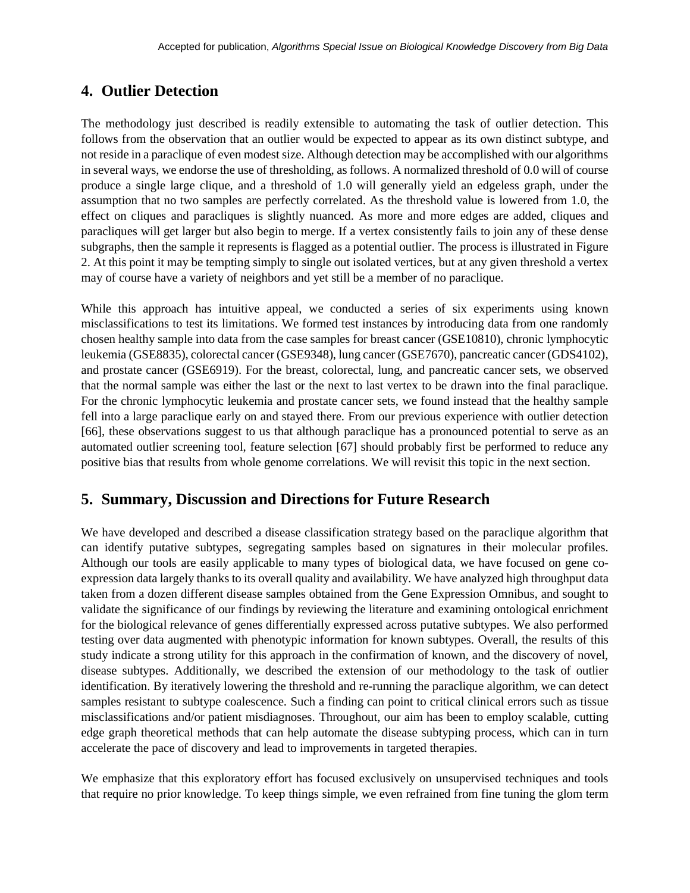## **4. Outlier Detection**

The methodology just described is readily extensible to automating the task of outlier detection. This follows from the observation that an outlier would be expected to appear as its own distinct subtype, and not reside in a paraclique of even modest size. Although detection may be accomplished with our algorithms in several ways, we endorse the use of thresholding, as follows. A normalized threshold of 0.0 will of course produce a single large clique, and a threshold of 1.0 will generally yield an edgeless graph, under the assumption that no two samples are perfectly correlated. As the threshold value is lowered from 1.0, the effect on cliques and paracliques is slightly nuanced. As more and more edges are added, cliques and paracliques will get larger but also begin to merge. If a vertex consistently fails to join any of these dense subgraphs, then the sample it represents is flagged as a potential outlier. The process is illustrated in Figure 2. At this point it may be tempting simply to single out isolated vertices, but at any given threshold a vertex may of course have a variety of neighbors and yet still be a member of no paraclique.

While this approach has intuitive appeal, we conducted a series of six experiments using known misclassifications to test its limitations. We formed test instances by introducing data from one randomly chosen healthy sample into data from the case samples for breast cancer (GSE10810), chronic lymphocytic leukemia (GSE8835), colorectal cancer (GSE9348), lung cancer (GSE7670), pancreatic cancer (GDS4102), and prostate cancer (GSE6919). For the breast, colorectal, lung, and pancreatic cancer sets, we observed that the normal sample was either the last or the next to last vertex to be drawn into the final paraclique. For the chronic lymphocytic leukemia and prostate cancer sets, we found instead that the healthy sample fell into a large paraclique early on and stayed there. From our previous experience with outlier detection [66], these observations suggest to us that although paraclique has a pronounced potential to serve as an automated outlier screening tool, feature selection [67] should probably first be performed to reduce any positive bias that results from whole genome correlations. We will revisit this topic in the next section.

## **5. Summary, Discussion and Directions for Future Research**

We have developed and described a disease classification strategy based on the paraclique algorithm that can identify putative subtypes, segregating samples based on signatures in their molecular profiles. Although our tools are easily applicable to many types of biological data, we have focused on gene coexpression data largely thanks to its overall quality and availability. We have analyzed high throughput data taken from a dozen different disease samples obtained from the Gene Expression Omnibus, and sought to validate the significance of our findings by reviewing the literature and examining ontological enrichment for the biological relevance of genes differentially expressed across putative subtypes. We also performed testing over data augmented with phenotypic information for known subtypes. Overall, the results of this study indicate a strong utility for this approach in the confirmation of known, and the discovery of novel, disease subtypes. Additionally, we described the extension of our methodology to the task of outlier identification. By iteratively lowering the threshold and re-running the paraclique algorithm, we can detect samples resistant to subtype coalescence. Such a finding can point to critical clinical errors such as tissue misclassifications and/or patient misdiagnoses. Throughout, our aim has been to employ scalable, cutting edge graph theoretical methods that can help automate the disease subtyping process, which can in turn accelerate the pace of discovery and lead to improvements in targeted therapies.

We emphasize that this exploratory effort has focused exclusively on unsupervised techniques and tools that require no prior knowledge. To keep things simple, we even refrained from fine tuning the glom term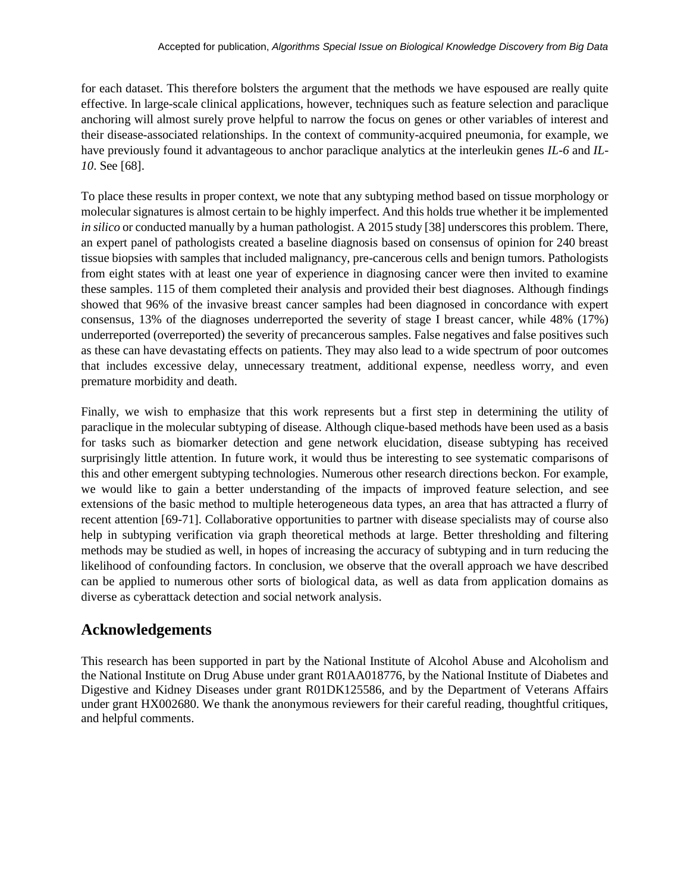for each dataset. This therefore bolsters the argument that the methods we have espoused are really quite effective. In large-scale clinical applications, however, techniques such as feature selection and paraclique anchoring will almost surely prove helpful to narrow the focus on genes or other variables of interest and their disease-associated relationships. In the context of community-acquired pneumonia, for example, we have previously found it advantageous to anchor paraclique analytics at the interleukin genes *IL-6* and *IL-10*. See [68].

To place these results in proper context, we note that any subtyping method based on tissue morphology or molecular signatures is almost certain to be highly imperfect. And this holds true whether it be implemented *in silico* or conducted manually by a human pathologist. A 2015 study [38] underscores this problem. There, an expert panel of pathologists created a baseline diagnosis based on consensus of opinion for 240 breast tissue biopsies with samples that included malignancy, pre-cancerous cells and benign tumors. Pathologists from eight states with at least one year of experience in diagnosing cancer were then invited to examine these samples. 115 of them completed their analysis and provided their best diagnoses. Although findings showed that 96% of the invasive breast cancer samples had been diagnosed in concordance with expert consensus, 13% of the diagnoses underreported the severity of stage I breast cancer, while 48% (17%) underreported (overreported) the severity of precancerous samples. False negatives and false positives such as these can have devastating effects on patients. They may also lead to a wide spectrum of poor outcomes that includes excessive delay, unnecessary treatment, additional expense, needless worry, and even premature morbidity and death.

Finally, we wish to emphasize that this work represents but a first step in determining the utility of paraclique in the molecular subtyping of disease. Although clique-based methods have been used as a basis for tasks such as biomarker detection and gene network elucidation, disease subtyping has received surprisingly little attention. In future work, it would thus be interesting to see systematic comparisons of this and other emergent subtyping technologies. Numerous other research directions beckon. For example, we would like to gain a better understanding of the impacts of improved feature selection, and see extensions of the basic method to multiple heterogeneous data types, an area that has attracted a flurry of recent attention [69-71]. Collaborative opportunities to partner with disease specialists may of course also help in subtyping verification via graph theoretical methods at large. Better thresholding and filtering methods may be studied as well, in hopes of increasing the accuracy of subtyping and in turn reducing the likelihood of confounding factors. In conclusion, we observe that the overall approach we have described can be applied to numerous other sorts of biological data, as well as data from application domains as diverse as cyberattack detection and social network analysis.

# **Acknowledgements**

This research has been supported in part by the National Institute of Alcohol Abuse and Alcoholism and the National Institute on Drug Abuse under grant R01AA018776, by the National Institute of Diabetes and Digestive and Kidney Diseases under grant R01DK125586, and by the Department of Veterans Affairs under grant HX002680. We thank the anonymous reviewers for their careful reading, thoughtful critiques, and helpful comments.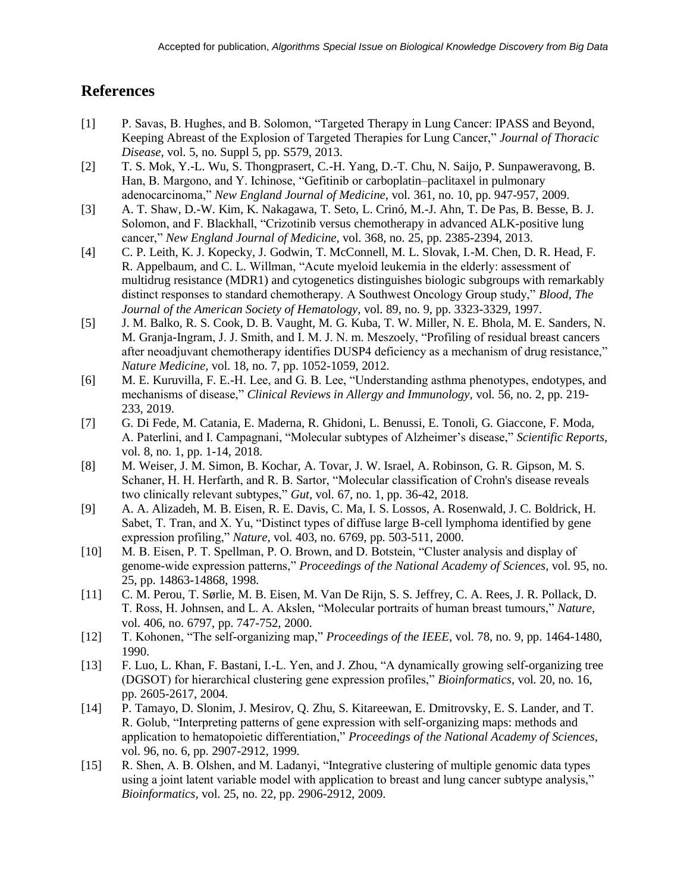## **References**

- [1] P. Savas, B. Hughes, and B. Solomon, "Targeted Therapy in Lung Cancer: IPASS and Beyond, Keeping Abreast of the Explosion of Targeted Therapies for Lung Cancer," *Journal of Thoracic Disease,* vol. 5, no. Suppl 5, pp. S579, 2013.
- [2] T. S. Mok, Y.-L. Wu, S. Thongprasert, C.-H. Yang, D.-T. Chu, N. Saijo, P. Sunpaweravong, B. Han, B. Margono, and Y. Ichinose, "Gefitinib or carboplatin–paclitaxel in pulmonary adenocarcinoma," *New England Journal of Medicine,* vol. 361, no. 10, pp. 947-957, 2009.
- [3] A. T. Shaw, D.-W. Kim, K. Nakagawa, T. Seto, L. Crinó, M.-J. Ahn, T. De Pas, B. Besse, B. J. Solomon, and F. Blackhall, "Crizotinib versus chemotherapy in advanced ALK-positive lung cancer," *New England Journal of Medicine,* vol. 368, no. 25, pp. 2385-2394, 2013.
- [4] C. P. Leith, K. J. Kopecky, J. Godwin, T. McConnell, M. L. Slovak, I.-M. Chen, D. R. Head, F. R. Appelbaum, and C. L. Willman, "Acute myeloid leukemia in the elderly: assessment of multidrug resistance (MDR1) and cytogenetics distinguishes biologic subgroups with remarkably distinct responses to standard chemotherapy. A Southwest Oncology Group study," *Blood, The Journal of the American Society of Hematology,* vol. 89, no. 9, pp. 3323-3329, 1997.
- [5] J. M. Balko, R. S. Cook, D. B. Vaught, M. G. Kuba, T. W. Miller, N. E. Bhola, M. E. Sanders, N. M. Granja-Ingram, J. J. Smith, and I. M. J. N. m. Meszoely, "Profiling of residual breast cancers after neoadjuvant chemotherapy identifies DUSP4 deficiency as a mechanism of drug resistance," *Nature Medicine,* vol. 18, no. 7, pp. 1052-1059, 2012.
- [6] M. E. Kuruvilla, F. E.-H. Lee, and G. B. Lee, "Understanding asthma phenotypes, endotypes, and mechanisms of disease," *Clinical Reviews in Allergy and Immunology,* vol. 56, no. 2, pp. 219- 233, 2019.
- [7] G. Di Fede, M. Catania, E. Maderna, R. Ghidoni, L. Benussi, E. Tonoli, G. Giaccone, F. Moda, A. Paterlini, and I. Campagnani, "Molecular subtypes of Alzheimer's disease," *Scientific Reports,* vol. 8, no. 1, pp. 1-14, 2018.
- [8] M. Weiser, J. M. Simon, B. Kochar, A. Tovar, J. W. Israel, A. Robinson, G. R. Gipson, M. S. Schaner, H. H. Herfarth, and R. B. Sartor, "Molecular classification of Crohn's disease reveals two clinically relevant subtypes," *Gut,* vol. 67, no. 1, pp. 36-42, 2018.
- [9] A. A. Alizadeh, M. B. Eisen, R. E. Davis, C. Ma, I. S. Lossos, A. Rosenwald, J. C. Boldrick, H. Sabet, T. Tran, and X. Yu, "Distinct types of diffuse large B-cell lymphoma identified by gene expression profiling," *Nature,* vol. 403, no. 6769, pp. 503-511, 2000.
- [10] M. B. Eisen, P. T. Spellman, P. O. Brown, and D. Botstein, "Cluster analysis and display of genome-wide expression patterns," *Proceedings of the National Academy of Sciences,* vol. 95, no. 25, pp. 14863-14868, 1998.
- [11] C. M. Perou, T. Sørlie, M. B. Eisen, M. Van De Rijn, S. S. Jeffrey, C. A. Rees, J. R. Pollack, D. T. Ross, H. Johnsen, and L. A. Akslen, "Molecular portraits of human breast tumours," *Nature,* vol. 406, no. 6797, pp. 747-752, 2000.
- [12] T. Kohonen, "The self-organizing map," *Proceedings of the IEEE,* vol. 78, no. 9, pp. 1464-1480, 1990.
- [13] F. Luo, L. Khan, F. Bastani, I.-L. Yen, and J. Zhou, "A dynamically growing self-organizing tree (DGSOT) for hierarchical clustering gene expression profiles," *Bioinformatics,* vol. 20, no. 16, pp. 2605-2617, 2004.
- [14] P. Tamayo, D. Slonim, J. Mesirov, Q. Zhu, S. Kitareewan, E. Dmitrovsky, E. S. Lander, and T. R. Golub, "Interpreting patterns of gene expression with self-organizing maps: methods and application to hematopoietic differentiation," *Proceedings of the National Academy of Sciences,* vol. 96, no. 6, pp. 2907-2912, 1999.
- [15] R. Shen, A. B. Olshen, and M. Ladanyi, "Integrative clustering of multiple genomic data types using a joint latent variable model with application to breast and lung cancer subtype analysis," *Bioinformatics,* vol. 25, no. 22, pp. 2906-2912, 2009.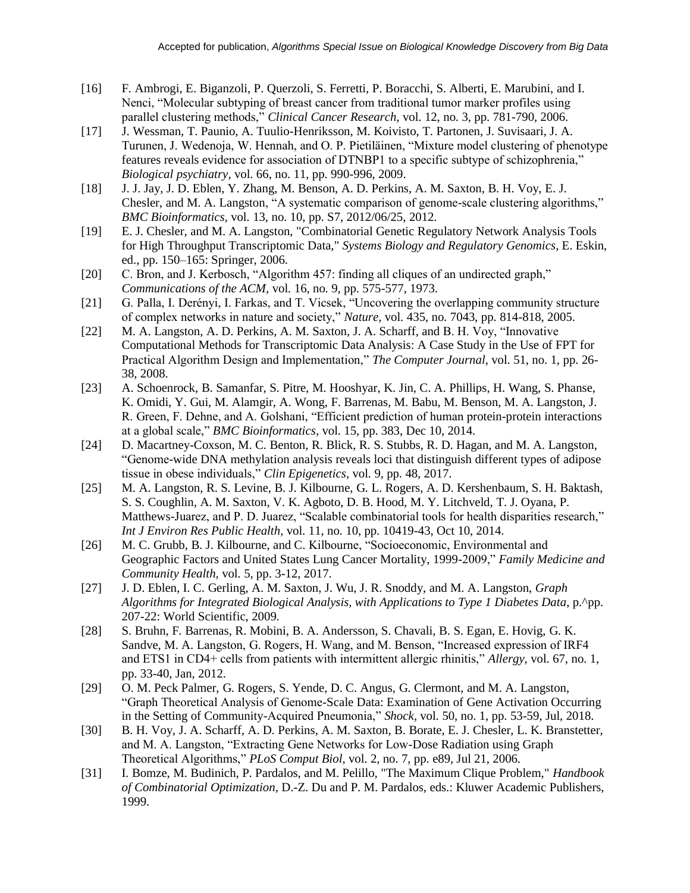- [16] F. Ambrogi, E. Biganzoli, P. Querzoli, S. Ferretti, P. Boracchi, S. Alberti, E. Marubini, and I. Nenci, "Molecular subtyping of breast cancer from traditional tumor marker profiles using parallel clustering methods," *Clinical Cancer Research,* vol. 12, no. 3, pp. 781-790, 2006.
- [17] J. Wessman, T. Paunio, A. Tuulio-Henriksson, M. Koivisto, T. Partonen, J. Suvisaari, J. A. Turunen, J. Wedenoja, W. Hennah, and O. P. Pietiläinen, "Mixture model clustering of phenotype features reveals evidence for association of DTNBP1 to a specific subtype of schizophrenia," *Biological psychiatry,* vol. 66, no. 11, pp. 990-996, 2009.
- [18] J. J. Jay, J. D. Eblen, Y. Zhang, M. Benson, A. D. Perkins, A. M. Saxton, B. H. Voy, E. J. Chesler, and M. A. Langston, "A systematic comparison of genome-scale clustering algorithms," *BMC Bioinformatics,* vol. 13, no. 10, pp. S7, 2012/06/25, 2012.
- [19] E. J. Chesler, and M. A. Langston, "Combinatorial Genetic Regulatory Network Analysis Tools for High Throughput Transcriptomic Data," *Systems Biology and Regulatory Genomics*, E. Eskin, ed., pp. 150–165: Springer, 2006.
- [20] C. Bron, and J. Kerbosch, "Algorithm 457: finding all cliques of an undirected graph," *Communications of the ACM,* vol. 16, no. 9, pp. 575-577, 1973.
- [21] G. Palla, I. Derényi, I. Farkas, and T. Vicsek, "Uncovering the overlapping community structure of complex networks in nature and society," *Nature,* vol. 435, no. 7043, pp. 814-818, 2005.
- [22] M. A. Langston, A. D. Perkins, A. M. Saxton, J. A. Scharff, and B. H. Voy, "Innovative Computational Methods for Transcriptomic Data Analysis: A Case Study in the Use of FPT for Practical Algorithm Design and Implementation," *The Computer Journal,* vol. 51, no. 1, pp. 26- 38, 2008.
- [23] A. Schoenrock, B. Samanfar, S. Pitre, M. Hooshyar, K. Jin, C. A. Phillips, H. Wang, S. Phanse, K. Omidi, Y. Gui, M. Alamgir, A. Wong, F. Barrenas, M. Babu, M. Benson, M. A. Langston, J. R. Green, F. Dehne, and A. Golshani, "Efficient prediction of human protein-protein interactions at a global scale," *BMC Bioinformatics,* vol. 15, pp. 383, Dec 10, 2014.
- [24] D. Macartney-Coxson, M. C. Benton, R. Blick, R. S. Stubbs, R. D. Hagan, and M. A. Langston, "Genome-wide DNA methylation analysis reveals loci that distinguish different types of adipose tissue in obese individuals," *Clin Epigenetics,* vol. 9, pp. 48, 2017.
- [25] M. A. Langston, R. S. Levine, B. J. Kilbourne, G. L. Rogers, A. D. Kershenbaum, S. H. Baktash, S. S. Coughlin, A. M. Saxton, V. K. Agboto, D. B. Hood, M. Y. Litchveld, T. J. Oyana, P. Matthews-Juarez, and P. D. Juarez, "Scalable combinatorial tools for health disparities research," *Int J Environ Res Public Health,* vol. 11, no. 10, pp. 10419-43, Oct 10, 2014.
- [26] M. C. Grubb, B. J. Kilbourne, and C. Kilbourne, "Socioeconomic, Environmental and Geographic Factors and United States Lung Cancer Mortality, 1999-2009," *Family Medicine and Community Health,* vol. 5, pp. 3-12, 2017.
- [27] J. D. Eblen, I. C. Gerling, A. M. Saxton, J. Wu, J. R. Snoddy, and M. A. Langston, *Graph Algorithms for Integrated Biological Analysis, with Applications to Type 1 Diabetes Data*, p.^pp. 207-22: World Scientific, 2009.
- [28] S. Bruhn, F. Barrenas, R. Mobini, B. A. Andersson, S. Chavali, B. S. Egan, E. Hovig, G. K. Sandve, M. A. Langston, G. Rogers, H. Wang, and M. Benson, "Increased expression of IRF4 and ETS1 in CD4+ cells from patients with intermittent allergic rhinitis," *Allergy,* vol. 67, no. 1, pp. 33-40, Jan, 2012.
- [29] O. M. Peck Palmer, G. Rogers, S. Yende, D. C. Angus, G. Clermont, and M. A. Langston, "Graph Theoretical Analysis of Genome-Scale Data: Examination of Gene Activation Occurring in the Setting of Community-Acquired Pneumonia," *Shock,* vol. 50, no. 1, pp. 53-59, Jul, 2018.
- [30] B. H. Voy, J. A. Scharff, A. D. Perkins, A. M. Saxton, B. Borate, E. J. Chesler, L. K. Branstetter, and M. A. Langston, "Extracting Gene Networks for Low-Dose Radiation using Graph Theoretical Algorithms," *PLoS Comput Biol,* vol. 2, no. 7, pp. e89, Jul 21, 2006.
- [31] I. Bomze, M. Budinich, P. Pardalos, and M. Pelillo, "The Maximum Clique Problem," *Handbook of Combinatorial Optimization*, D.-Z. Du and P. M. Pardalos, eds.: Kluwer Academic Publishers, 1999.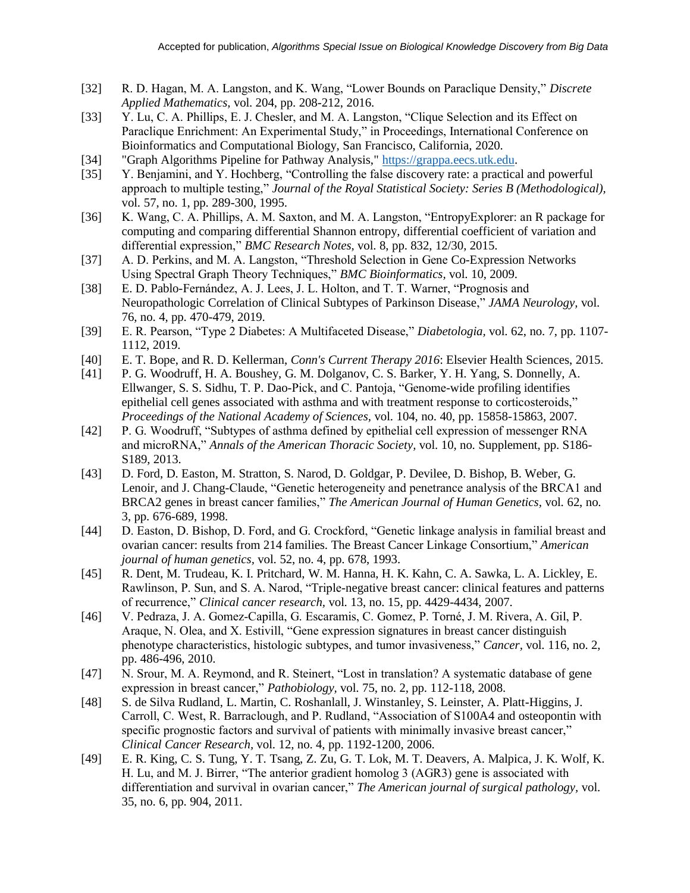- [32] R. D. Hagan, M. A. Langston, and K. Wang, "Lower Bounds on Paraclique Density," *Discrete Applied Mathematics,* vol. 204, pp. 208-212, 2016.
- [33] Y. Lu, C. A. Phillips, E. J. Chesler, and M. A. Langston, "Clique Selection and its Effect on Paraclique Enrichment: An Experimental Study," in Proceedings, International Conference on Bioinformatics and Computational Biology, San Francisco, California, 2020.
- [34] "Graph Algorithms Pipeline for Pathway Analysis," [https://grappa.eecs.utk.edu.](https://grappa.eecs.utk.edu/)
- [35] Y. Benjamini, and Y. Hochberg, "Controlling the false discovery rate: a practical and powerful approach to multiple testing," *Journal of the Royal Statistical Society: Series B (Methodological),* vol. 57, no. 1, pp. 289-300, 1995.
- [36] K. Wang, C. A. Phillips, A. M. Saxton, and M. A. Langston, "Entropy Explorer: an R package for computing and comparing differential Shannon entropy, differential coefficient of variation and differential expression," *BMC Research Notes,* vol. 8, pp. 832, 12/30, 2015.
- [37] A. D. Perkins, and M. A. Langston, "Threshold Selection in Gene Co-Expression Networks Using Spectral Graph Theory Techniques," *BMC Bioinformatics,* vol. 10, 2009.
- [38] E. D. Pablo-Fernández, A. J. Lees, J. L. Holton, and T. T. Warner, "Prognosis and Neuropathologic Correlation of Clinical Subtypes of Parkinson Disease," *JAMA Neurology,* vol. 76, no. 4, pp. 470-479, 2019.
- [39] E. R. Pearson, "Type 2 Diabetes: A Multifaceted Disease," *Diabetologia,* vol. 62, no. 7, pp. 1107- 1112, 2019.
- [40] E. T. Bope, and R. D. Kellerman, *Conn's Current Therapy 2016*: Elsevier Health Sciences, 2015.
- [41] P. G. Woodruff, H. A. Boushey, G. M. Dolganov, C. S. Barker, Y. H. Yang, S. Donnelly, A. Ellwanger, S. S. Sidhu, T. P. Dao-Pick, and C. Pantoja, "Genome-wide profiling identifies epithelial cell genes associated with asthma and with treatment response to corticosteroids," *Proceedings of the National Academy of Sciences,* vol. 104, no. 40, pp. 15858-15863, 2007.
- [42] P. G. Woodruff, "Subtypes of asthma defined by epithelial cell expression of messenger RNA and microRNA," *Annals of the American Thoracic Society,* vol. 10, no. Supplement, pp. S186- S189, 2013.
- [43] D. Ford, D. Easton, M. Stratton, S. Narod, D. Goldgar, P. Devilee, D. Bishop, B. Weber, G. Lenoir, and J. Chang-Claude, "Genetic heterogeneity and penetrance analysis of the BRCA1 and BRCA2 genes in breast cancer families," *The American Journal of Human Genetics,* vol. 62, no. 3, pp. 676-689, 1998.
- [44] D. Easton, D. Bishop, D. Ford, and G. Crockford, "Genetic linkage analysis in familial breast and ovarian cancer: results from 214 families. The Breast Cancer Linkage Consortium," *American journal of human genetics,* vol. 52, no. 4, pp. 678, 1993.
- [45] R. Dent, M. Trudeau, K. I. Pritchard, W. M. Hanna, H. K. Kahn, C. A. Sawka, L. A. Lickley, E. Rawlinson, P. Sun, and S. A. Narod, "Triple-negative breast cancer: clinical features and patterns of recurrence," *Clinical cancer research,* vol. 13, no. 15, pp. 4429-4434, 2007.
- [46] V. Pedraza, J. A. Gomez‐Capilla, G. Escaramis, C. Gomez, P. Torné, J. M. Rivera, A. Gil, P. Araque, N. Olea, and X. Estivill, "Gene expression signatures in breast cancer distinguish phenotype characteristics, histologic subtypes, and tumor invasiveness," *Cancer,* vol. 116, no. 2, pp. 486-496, 2010.
- [47] N. Srour, M. A. Reymond, and R. Steinert, "Lost in translation? A systematic database of gene expression in breast cancer," *Pathobiology,* vol. 75, no. 2, pp. 112-118, 2008.
- [48] S. de Silva Rudland, L. Martin, C. Roshanlall, J. Winstanley, S. Leinster, A. Platt-Higgins, J. Carroll, C. West, R. Barraclough, and P. Rudland, "Association of S100A4 and osteopontin with specific prognostic factors and survival of patients with minimally invasive breast cancer," *Clinical Cancer Research,* vol. 12, no. 4, pp. 1192-1200, 2006.
- [49] E. R. King, C. S. Tung, Y. T. Tsang, Z. Zu, G. T. Lok, M. T. Deavers, A. Malpica, J. K. Wolf, K. H. Lu, and M. J. Birrer, "The anterior gradient homolog 3 (AGR3) gene is associated with differentiation and survival in ovarian cancer," *The American journal of surgical pathology,* vol. 35, no. 6, pp. 904, 2011.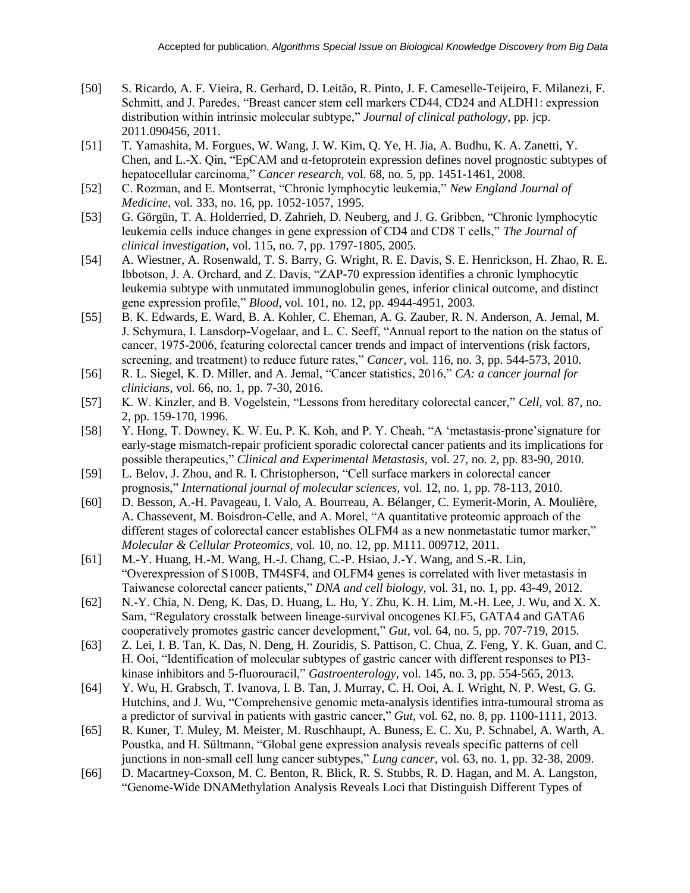- [50] S. Ricardo, A. F. Vieira, R. Gerhard, D. Leitão, R. Pinto, J. F. Cameselle-Teijeiro, F. Milanezi, F. Schmitt, and J. Paredes, "Breast cancer stem cell markers CD44, CD24 and ALDH1: expression distribution within intrinsic molecular subtype," *Journal of clinical pathology*, pp. jcp. 2011.090456, 2011.
- [51] T. Yamashita, M. Forgues, W. Wang, J. W. Kim, Q. Ye, H. Jia, A. Budhu, K. A. Zanetti, Y. Chen, and L.-X. Qin, "EpCAM and α-fetoprotein expression defines novel prognostic subtypes of hepatocellular carcinoma," *Cancer research,* vol. 68, no. 5, pp. 1451-1461, 2008.
- [52] C. Rozman, and E. Montserrat, "Chronic lymphocytic leukemia," *New England Journal of Medicine,* vol. 333, no. 16, pp. 1052-1057, 1995.
- [53] G. Görgün, T. A. Holderried, D. Zahrieh, D. Neuberg, and J. G. Gribben, "Chronic lymphocytic leukemia cells induce changes in gene expression of CD4 and CD8 T cells," *The Journal of clinical investigation,* vol. 115, no. 7, pp. 1797-1805, 2005.
- [54] A. Wiestner, A. Rosenwald, T. S. Barry, G. Wright, R. E. Davis, S. E. Henrickson, H. Zhao, R. E. Ibbotson, J. A. Orchard, and Z. Davis, "ZAP-70 expression identifies a chronic lymphocytic leukemia subtype with unmutated immunoglobulin genes, inferior clinical outcome, and distinct gene expression profile," *Blood,* vol. 101, no. 12, pp. 4944-4951, 2003.
- [55] B. K. Edwards, E. Ward, B. A. Kohler, C. Eheman, A. G. Zauber, R. N. Anderson, A. Jemal, M. J. Schymura, I. Lansdorp‐Vogelaar, and L. C. Seeff, "Annual report to the nation on the status of cancer, 1975‐2006, featuring colorectal cancer trends and impact of interventions (risk factors, screening, and treatment) to reduce future rates," *Cancer,* vol. 116, no. 3, pp. 544-573, 2010.
- [56] R. L. Siegel, K. D. Miller, and A. Jemal, "Cancer statistics, 2016," *CA: a cancer journal for clinicians,* vol. 66, no. 1, pp. 7-30, 2016.
- [57] K. W. Kinzler, and B. Vogelstein, "Lessons from hereditary colorectal cancer," *Cell,* vol. 87, no. 2, pp. 159-170, 1996.
- [58] Y. Hong, T. Downey, K. W. Eu, P. K. Koh, and P. Y. Cheah, "A 'metastasis-prone'signature for early-stage mismatch-repair proficient sporadic colorectal cancer patients and its implications for possible therapeutics," *Clinical and Experimental Metastasis,* vol. 27, no. 2, pp. 83-90, 2010.
- [59] L. Belov, J. Zhou, and R. I. Christopherson, "Cell surface markers in colorectal cancer prognosis," *International journal of molecular sciences,* vol. 12, no. 1, pp. 78-113, 2010.
- [60] D. Besson, A.-H. Pavageau, I. Valo, A. Bourreau, A. Bélanger, C. Eymerit-Morin, A. Moulière, A. Chassevent, M. Boisdron-Celle, and A. Morel, "A quantitative proteomic approach of the different stages of colorectal cancer establishes OLFM4 as a new nonmetastatic tumor marker," *Molecular & Cellular Proteomics,* vol. 10, no. 12, pp. M111. 009712, 2011.
- [61] M.-Y. Huang, H.-M. Wang, H.-J. Chang, C.-P. Hsiao, J.-Y. Wang, and S.-R. Lin, "Overexpression of S100B, TM4SF4, and OLFM4 genes is correlated with liver metastasis in Taiwanese colorectal cancer patients," *DNA and cell biology,* vol. 31, no. 1, pp. 43-49, 2012.
- [62] N.-Y. Chia, N. Deng, K. Das, D. Huang, L. Hu, Y. Zhu, K. H. Lim, M.-H. Lee, J. Wu, and X. X. Sam, "Regulatory crosstalk between lineage-survival oncogenes KLF5, GATA4 and GATA6 cooperatively promotes gastric cancer development," *Gut,* vol. 64, no. 5, pp. 707-719, 2015.
- [63] Z. Lei, I. B. Tan, K. Das, N. Deng, H. Zouridis, S. Pattison, C. Chua, Z. Feng, Y. K. Guan, and C. H. Ooi, "Identification of molecular subtypes of gastric cancer with different responses to PI3 kinase inhibitors and 5-fluorouracil," *Gastroenterology,* vol. 145, no. 3, pp. 554-565, 2013.
- [64] Y. Wu, H. Grabsch, T. Ivanova, I. B. Tan, J. Murray, C. H. Ooi, A. I. Wright, N. P. West, G. G. Hutchins, and J. Wu, "Comprehensive genomic meta-analysis identifies intra-tumoural stroma as a predictor of survival in patients with gastric cancer," *Gut,* vol. 62, no. 8, pp. 1100-1111, 2013.
- [65] R. Kuner, T. Muley, M. Meister, M. Ruschhaupt, A. Buness, E. C. Xu, P. Schnabel, A. Warth, A. Poustka, and H. Sültmann, "Global gene expression analysis reveals specific patterns of cell junctions in non-small cell lung cancer subtypes," *Lung cancer,* vol. 63, no. 1, pp. 32-38, 2009.
- [66] D. Macartney-Coxson, M. C. Benton, R. Blick, R. S. Stubbs, R. D. Hagan, and M. A. Langston, "Genome-Wide DNAMethylation Analysis Reveals Loci that Distinguish Different Types of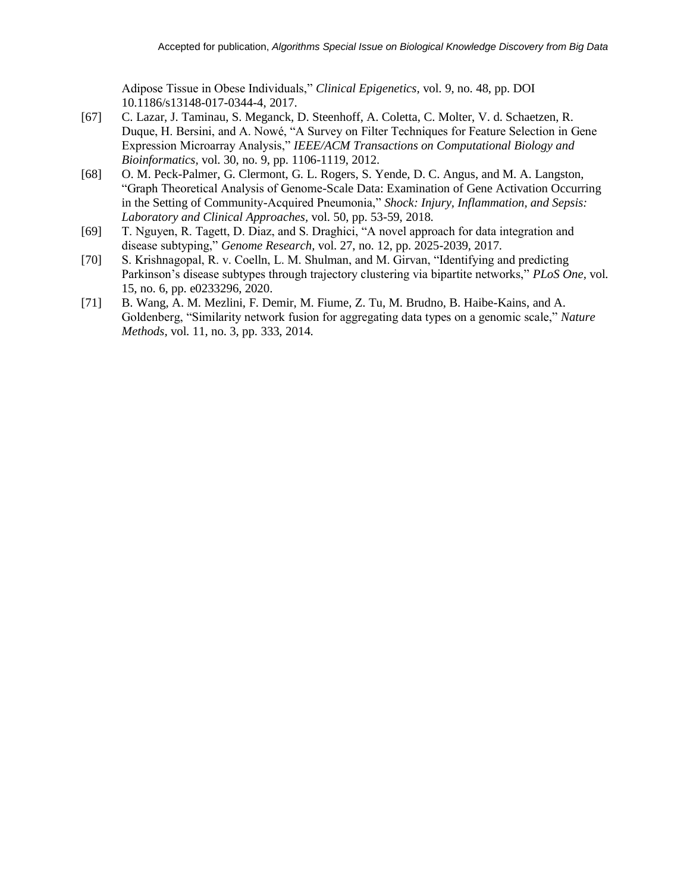Adipose Tissue in Obese Individuals," *Clinical Epigenetics,* vol. 9, no. 48, pp. DOI 10.1186/s13148-017-0344-4, 2017.

- [67] C. Lazar, J. Taminau, S. Meganck, D. Steenhoff, A. Coletta, C. Molter, V. d. Schaetzen, R. Duque, H. Bersini, and A. Nowé, "A Survey on Filter Techniques for Feature Selection in Gene Expression Microarray Analysis," *IEEE/ACM Transactions on Computational Biology and Bioinformatics,* vol. 30, no. 9, pp. 1106-1119, 2012.
- [68] O. M. Peck-Palmer, G. Clermont, G. L. Rogers, S. Yende, D. C. Angus, and M. A. Langston, "Graph Theoretical Analysis of Genome-Scale Data: Examination of Gene Activation Occurring in the Setting of Community-Acquired Pneumonia," *Shock: Injury, Inflammation, and Sepsis: Laboratory and Clinical Approaches,* vol. 50, pp. 53-59, 2018.
- [69] T. Nguyen, R. Tagett, D. Diaz, and S. Draghici, "A novel approach for data integration and disease subtyping," *Genome Research,* vol. 27, no. 12, pp. 2025-2039, 2017.
- [70] S. Krishnagopal, R. v. Coelln, L. M. Shulman, and M. Girvan, "Identifying and predicting Parkinson's disease subtypes through trajectory clustering via bipartite networks," *PLoS One,* vol. 15, no. 6, pp. e0233296, 2020.
- [71] B. Wang, A. M. Mezlini, F. Demir, M. Fiume, Z. Tu, M. Brudno, B. Haibe-Kains, and A. Goldenberg, "Similarity network fusion for aggregating data types on a genomic scale," *Nature Methods,* vol. 11, no. 3, pp. 333, 2014.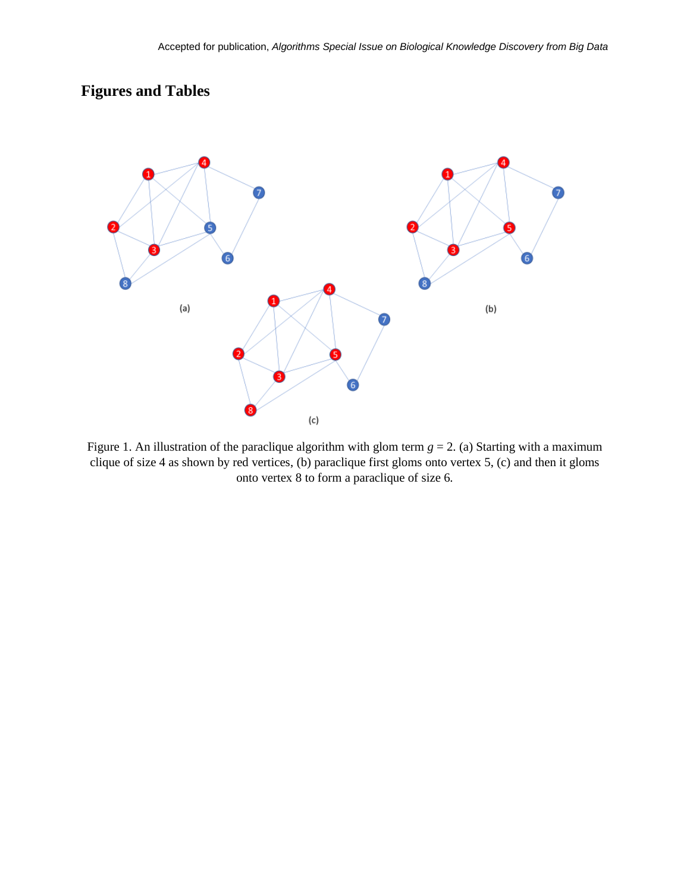# **Figures and Tables**



Figure 1. An illustration of the paraclique algorithm with glom term  $g = 2$ . (a) Starting with a maximum clique of size 4 as shown by red vertices, (b) paraclique first gloms onto vertex 5, (c) and then it gloms onto vertex 8 to form a paraclique of size 6.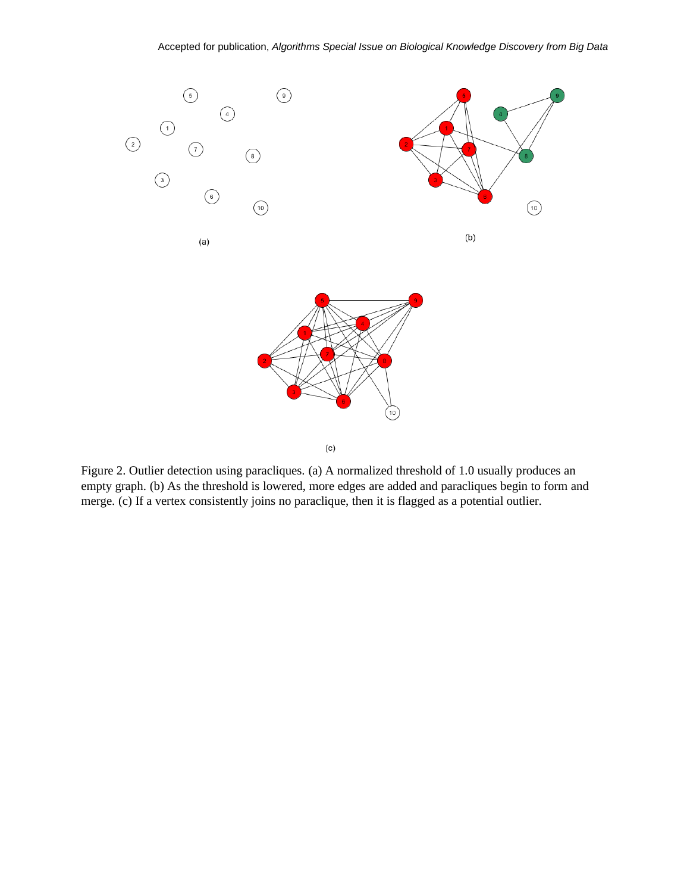



Figure 2. Outlier detection using paracliques. (a) A normalized threshold of 1.0 usually produces an empty graph. (b) As the threshold is lowered, more edges are added and paracliques begin to form and merge. (c) If a vertex consistently joins no paraclique, then it is flagged as a potential outlier.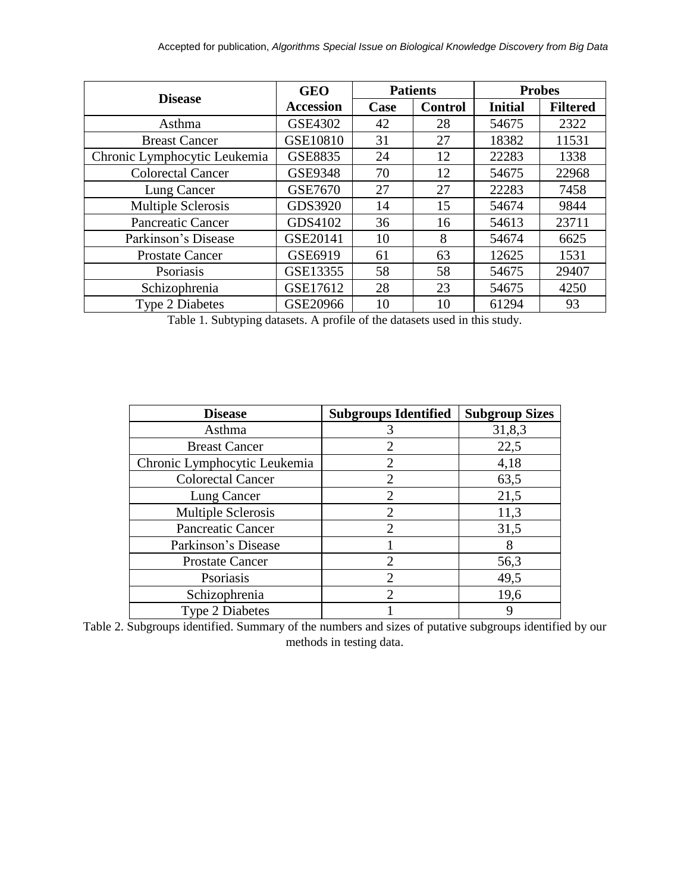|                              | <b>GEO</b>       | <b>Patients</b> |                | <b>Probes</b>  |                 |
|------------------------------|------------------|-----------------|----------------|----------------|-----------------|
| <b>Disease</b>               | <b>Accession</b> | Case            | <b>Control</b> | <b>Initial</b> | <b>Filtered</b> |
| Asthma                       | <b>GSE4302</b>   | 42              | 28             | 54675          | 2322            |
| <b>Breast Cancer</b>         | GSE10810         | 31              | 27             | 18382          | 11531           |
| Chronic Lymphocytic Leukemia | <b>GSE8835</b>   | 24              | 12             | 22283          | 1338            |
| <b>Colorectal Cancer</b>     | <b>GSE9348</b>   | 70              | 12             | 54675          | 22968           |
| Lung Cancer                  | <b>GSE7670</b>   | 27              | 27             | 22283          | 7458            |
| Multiple Sclerosis           | GDS3920          | 14              | 15             | 54674          | 9844            |
| <b>Pancreatic Cancer</b>     | GDS4102          | 36              | 16             | 54613          | 23711           |
| Parkinson's Disease          | GSE20141         | 10              | 8              | 54674          | 6625            |
| <b>Prostate Cancer</b>       | GSE6919          | 61              | 63             | 12625          | 1531            |
| <b>P</b> soriasis            | GSE13355         | 58              | 58             | 54675          | 29407           |
| Schizophrenia                | GSE17612         | 28              | 23             | 54675          | 4250            |
| <b>Type 2 Diabetes</b>       | GSE20966         | 10              | 10             | 61294          | 93              |

Table 1. Subtyping datasets. A profile of the datasets used in this study.

| <b>Disease</b>               | <b>Subgroups Identified</b> | <b>Subgroup Sizes</b> |
|------------------------------|-----------------------------|-----------------------|
| Asthma                       |                             | 31,8,3                |
| <b>Breast Cancer</b>         | $\mathcal{D}_{\mathcal{A}}$ | 22,5                  |
| Chronic Lymphocytic Leukemia | 2                           | 4,18                  |
| <b>Colorectal Cancer</b>     | $\mathcal{D}_{\mathcal{L}}$ | 63,5                  |
| Lung Cancer                  | 2                           | 21,5                  |
| Multiple Sclerosis           | 2                           | 11,3                  |
| <b>Pancreatic Cancer</b>     | $\mathcal{D}_{\mathcal{L}}$ | 31,5                  |
| Parkinson's Disease          |                             | 8                     |
| <b>Prostate Cancer</b>       | $\mathcal{D}_{\mathcal{L}}$ | 56,3                  |
| Psoriasis                    | 2                           | 49,5                  |
| Schizophrenia                | $\mathcal{D}$               | 19,6                  |
| <b>Type 2 Diabetes</b>       |                             | 9                     |

Table 2. Subgroups identified. Summary of the numbers and sizes of putative subgroups identified by our methods in testing data.